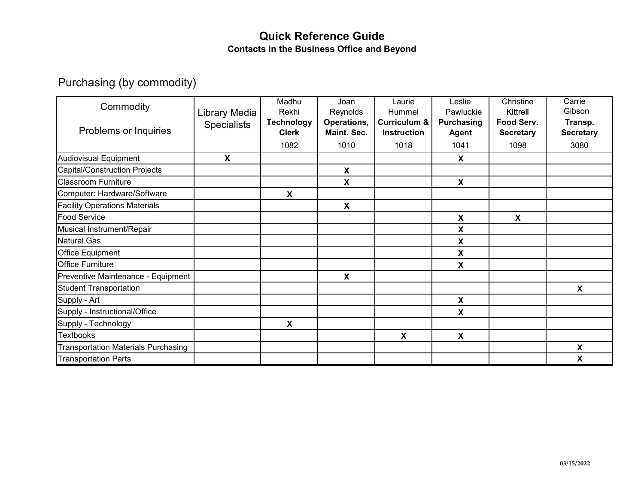## **Quick Reference Guide Contacts in the Business Office and Beyond**

## Purchasing (by commodity)

| Commodity                                  | Library Media             | Madhu<br>Rekhi                    | Joan<br>Reynolds                  | Laurie<br>Hummel                              | Leslie<br>Pawluckie               | Christine<br>Kittrell          | Carrie<br>Gibson            |
|--------------------------------------------|---------------------------|-----------------------------------|-----------------------------------|-----------------------------------------------|-----------------------------------|--------------------------------|-----------------------------|
| Problems or Inquiries                      | <b>Specialists</b>        | <b>Technology</b><br><b>Clerk</b> | Operations,<br><b>Maint, Sec.</b> | <b>Curriculum &amp;</b><br><b>Instruction</b> | <b>Purchasing</b><br><b>Agent</b> | Food Serv.<br><b>Secretary</b> | Transp.<br><b>Secretary</b> |
|                                            |                           | 1082                              | 1010                              | 1018                                          | 1041                              | 1098                           | 3080                        |
| Audiovisual Equipment                      | $\boldsymbol{\mathsf{X}}$ |                                   |                                   |                                               | X                                 |                                |                             |
| Capital/Construction Projects              |                           |                                   | $\boldsymbol{\mathsf{X}}$         |                                               |                                   |                                |                             |
| <b>Classroom Furniture</b>                 |                           |                                   | X                                 |                                               | $\boldsymbol{\mathsf{X}}$         |                                |                             |
| Computer: Hardware/Software                |                           | X                                 |                                   |                                               |                                   |                                |                             |
| <b>Facility Operations Materials</b>       |                           |                                   | Χ                                 |                                               |                                   |                                |                             |
| <b>Food Service</b>                        |                           |                                   |                                   |                                               | X                                 | X                              |                             |
| Musical Instrument/Repair                  |                           |                                   |                                   |                                               | X                                 |                                |                             |
| Natural Gas                                |                           |                                   |                                   |                                               | X                                 |                                |                             |
| <b>Office Equipment</b>                    |                           |                                   |                                   |                                               | X                                 |                                |                             |
| <b>Office Furniture</b>                    |                           |                                   |                                   |                                               | X                                 |                                |                             |
| Preventive Maintenance - Equipment         |                           |                                   | X                                 |                                               |                                   |                                |                             |
| <b>Student Transportation</b>              |                           |                                   |                                   |                                               |                                   |                                | X                           |
| Supply - Art                               |                           |                                   |                                   |                                               | $\boldsymbol{\mathsf{X}}$         |                                |                             |
| Supply - Instructional/Office              |                           |                                   |                                   |                                               | X                                 |                                |                             |
| Supply - Technology                        |                           | $\boldsymbol{\mathsf{X}}$         |                                   |                                               |                                   |                                |                             |
| <b>Textbooks</b>                           |                           |                                   |                                   | X                                             | $\boldsymbol{\mathsf{X}}$         |                                |                             |
| <b>Transportation Materials Purchasing</b> |                           |                                   |                                   |                                               |                                   |                                | X                           |
| <b>Transportation Parts</b>                |                           |                                   |                                   |                                               |                                   |                                | X                           |